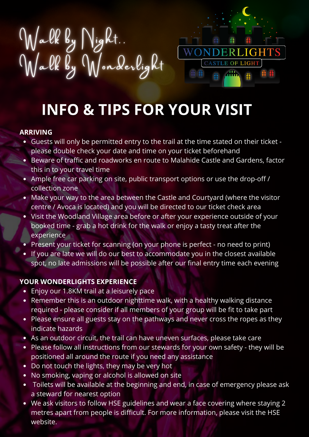



# **INFO & TIPS FOR YOUR VISIT**

#### **ARRIVING**

- Guests will only be permitted entry to the trail at the time stated on their ticket please double check your date and time on your ticket beforehand
- Beware of traffic and roadworks en route to Malahide Castle and Gardens, factor this in to your travel time
- Ample free car parking on site, public transport options or use the drop-off / collection zone
- Make your way to the area between the Castle and Courtyard (where the visitor centre / Avoca is located) and you will be directed to our ticket check area
- Visit the Woodland Village area before or after your experience outside of your booked time - grab a hot drink for the walk or enjoy a tasty treat after the experience
- Present your ticket for scanning (on your phone is perfect no need to print)
- If you are late we will do our best to accommodate you in the closest available spot, no late admissions will be possible after our final entry time each evening

### **YOUR WONDERLIGHTS EXPERIENCE**

- Enjoy our 1.8KM trail at a leisurely pace
- Remember this is an outdoor nighttime walk, with a healthy walking distance required - please consider if all members of your group will be fit to take part
- Please ensure all guests stay on the pathways and never cross the ropes as they indicate hazards
- As an outdoor circuit, the trail can have uneven surfaces, please take care
- Please follow all instructions from our stewards for your own safety they will be positioned all around the route if you need any assistance
- Do not touch the lights, they may be very hot  $\bullet$
- No smoking, vaping or alcohol is allowed on site
- Toilets will be available at the beginning and end, in case of emergency please ask  $\bullet$ a steward for nearest option
- We ask visitors to follow HSE guidelines and wear a face covering where staying 2 metres apart from people is difficult. For more [information,](https://www2.hse.ie/conditions/coronavirus/face-coverings-masks-and-covid-19/when-to-wear.html) please visit the HSE website.